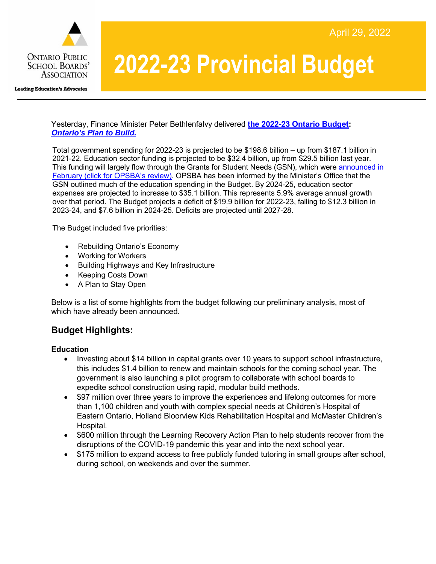

# **2022-23 Provincial Budget**

Yesterday, Finance Minister Peter Bethlenfalvy delivered **the [2022-23](http://www.ontario.ca/budget) Ontario Budget:** *[Ontario's Plan to Build.](https://news.ontario.ca/en/release/1002123/ontarios-plan-to-build)*

Total government spending for 2022-23 is projected to be \$198.6 billion – up from \$187.1 billion in 2021-22. Education sector funding is projected to be \$32.4 billion, up from \$29.5 billion last year. This funding will largely flow through the Grants for Student Needs (GSN), which were [announced in](https://www.opsba.org/wp-content/uploads/2022/02/OPSBA-Review-of-the-Grants-for-Student-Needs-22-23.pdf)  February [\(click for OPSBA's review\).](https://www.opsba.org/wp-content/uploads/2022/02/OPSBA-Review-of-the-Grants-for-Student-Needs-22-23.pdf) OPSBA has been informed by the Minister's Office that the GSN outlined much of the education spending in the Budget. By 2024-25, education sector expenses are projected to increase to \$35.1 billion. This represents 5.9% average annual growth over that period. The Budget projects a deficit of \$19.9 billion for 2022-23, falling to \$12.3 billion in 2023-24, and \$7.6 billion in 2024-25. Deficits are projected until 2027-28.

The Budget included five priorities:

- Rebuilding Ontario's Economy
- Working for Workers
- Building Highways and Key Infrastructure
- Keeping Costs Down
- A Plan to Stay Open

Below is a list of some highlights from the budget following our preliminary analysis, most of which have already been announced.

## **Budget Highlights:**

#### **Education**

- Investing about \$14 billion in capital grants over 10 years to support school infrastructure, this includes \$1.4 billion to renew and maintain schools for the coming school year. The government is also launching a pilot program to collaborate with school boards to expedite school construction using rapid, modular build methods.
- \$97 million over three years to improve the experiences and lifelong outcomes for more than 1,100 children and youth with complex special needs at Children's Hospital of Eastern Ontario, Holland Bloorview Kids Rehabilitation Hospital and McMaster Children's Hospital.
- \$600 million through the Learning Recovery Action Plan to help students recover from the disruptions of the COVID-19 pandemic this year and into the next school year.
- \$175 million to expand access to free publicly funded tutoring in small groups after school, during school, on weekends and over the summer.